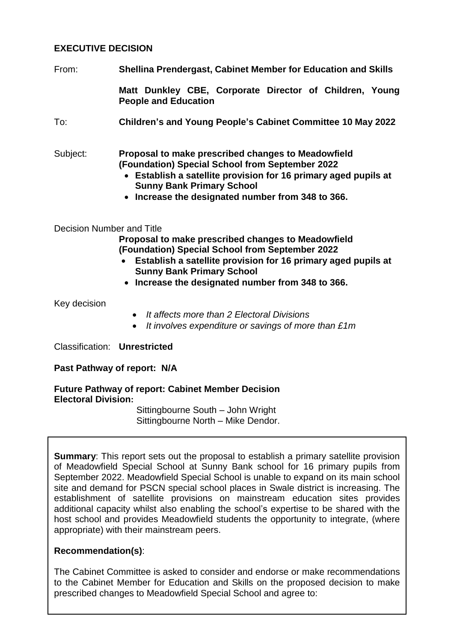# **EXECUTIVE DECISION**

From: **Shellina Prendergast, Cabinet Member for Education and Skills**

**Matt Dunkley CBE, Corporate Director of Children, Young People and Education**

To: **Children's and Young People's Cabinet Committee 10 May 2022**

Subject: **Proposal to make prescribed changes to Meadowfield (Foundation) Special School from September 2022**

- **Establish a satellite provision for 16 primary aged pupils at Sunny Bank Primary School**
- **Increase the designated number from 348 to 366.**

### Decision Number and Title

**Proposal to make prescribed changes to Meadowfield (Foundation) Special School from September 2022**

- **Establish a satellite provision for 16 primary aged pupils at Sunny Bank Primary School**
- **Increase the designated number from 348 to 366.**

Key decision

- *It affects more than 2 Electoral Divisions*
- *It involves expenditure or savings of more than £1m*

Classification: **Unrestricted**

### **Past Pathway of report: N/A**

#### **Future Pathway of report: Cabinet Member Decision Electoral Division:**

Sittingbourne South – John Wright Sittingbourne North – Mike Dendor.

**Summary:** This report sets out the proposal to establish a primary satellite provision of Meadowfield Special School at Sunny Bank school for 16 primary pupils from September 2022. Meadowfield Special School is unable to expand on its main school site and demand for PSCN special school places in Swale district is increasing. The establishment of satellite provisions on mainstream education sites provides additional capacity whilst also enabling the school's expertise to be shared with the host school and provides Meadowfield students the opportunity to integrate, (where appropriate) with their mainstream peers.

### **Recommendation(s)**:

The Cabinet Committee is asked to consider and endorse or make recommendations to the Cabinet Member for Education and Skills on the proposed decision to make prescribed changes to Meadowfield Special School and agree to: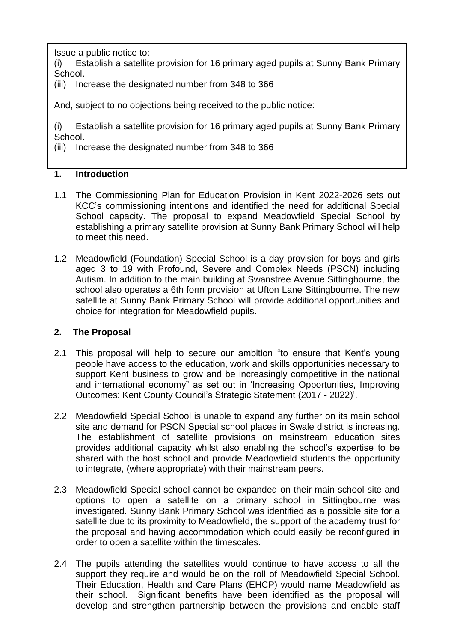Issue a public notice to:

(i) Establish a satellite provision for 16 primary aged pupils at Sunny Bank Primary School.

(iii) Increase the designated number from 348 to 366

And, subject to no objections being received to the public notice:

(i) Establish a satellite provision for 16 primary aged pupils at Sunny Bank Primary School.

(iii) Increase the designated number from 348 to 366

# **1. Introduction**

- 1.1 The Commissioning Plan for Education Provision in Kent 2022-2026 sets out KCC's commissioning intentions and identified the need for additional Special School capacity. The proposal to expand Meadowfield Special School by establishing a primary satellite provision at Sunny Bank Primary School will help to meet this need.
- 1.2 Meadowfield (Foundation) Special School is a day provision for boys and girls aged 3 to 19 with Profound, Severe and Complex Needs (PSCN) including Autism. In addition to the main building at Swanstree Avenue Sittingbourne, the school also operates a 6th form provision at Ufton Lane Sittingbourne. The new satellite at Sunny Bank Primary School will provide additional opportunities and choice for integration for Meadowfield pupils.

# **2. The Proposal**

- 2.1 This proposal will help to secure our ambition "to ensure that Kent's young people have access to the education, work and skills opportunities necessary to support Kent business to grow and be increasingly competitive in the national and international economy" as set out in 'Increasing Opportunities, Improving Outcomes: Kent County Council's Strategic Statement (2017 - 2022)'.
- 2.2 Meadowfield Special School is unable to expand any further on its main school site and demand for PSCN Special school places in Swale district is increasing. The establishment of satellite provisions on mainstream education sites provides additional capacity whilst also enabling the school's expertise to be shared with the host school and provide Meadowfield students the opportunity to integrate, (where appropriate) with their mainstream peers.
- 2.3 Meadowfield Special school cannot be expanded on their main school site and options to open a satellite on a primary school in Sittingbourne was investigated. Sunny Bank Primary School was identified as a possible site for a satellite due to its proximity to Meadowfield, the support of the academy trust for the proposal and having accommodation which could easily be reconfigured in order to open a satellite within the timescales.
- 2.4 The pupils attending the satellites would continue to have access to all the support they require and would be on the roll of Meadowfield Special School. Their Education, Health and Care Plans (EHCP) would name Meadowfield as their school. Significant benefits have been identified as the proposal will develop and strengthen partnership between the provisions and enable staff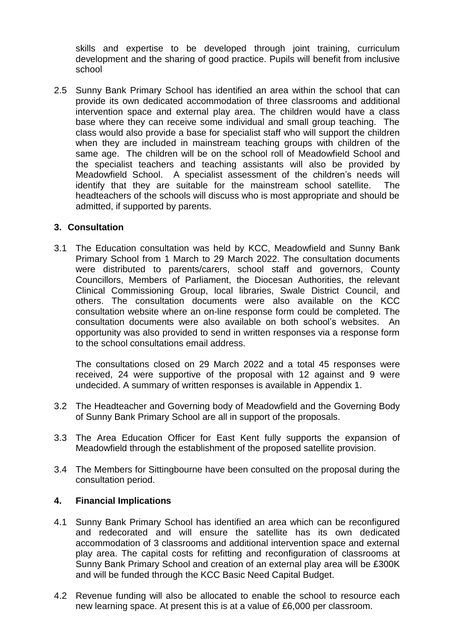skills and expertise to be developed through joint training, curriculum development and the sharing of good practice. Pupils will benefit from inclusive school

2.5 Sunny Bank Primary School has identified an area within the school that can provide its own dedicated accommodation of three classrooms and additional intervention space and external play area. The children would have a class base where they can receive some individual and small group teaching. The class would also provide a base for specialist staff who will support the children when they are included in mainstream teaching groups with children of the same age. The children will be on the school roll of Meadowfield School and the specialist teachers and teaching assistants will also be provided by Meadowfield School. A specialist assessment of the children's needs will identify that they are suitable for the mainstream school satellite. The headteachers of the schools will discuss who is most appropriate and should be admitted, if supported by parents.

### **3. Consultation**

3.1 The Education consultation was held by KCC, Meadowfield and Sunny Bank Primary School from 1 March to 29 March 2022. The consultation documents were distributed to parents/carers, school staff and governors, County Councillors, Members of Parliament, the Diocesan Authorities, the relevant Clinical Commissioning Group, local libraries, Swale District Council, and others. The consultation documents were also available on the KCC consultation website where an on-line response form could be completed. The consultation documents were also available on both school's websites. An opportunity was also provided to send in written responses via a response form to the school consultations email address.

The consultations closed on 29 March 2022 and a total 45 responses were received, 24 were supportive of the proposal with 12 against and 9 were undecided. A summary of written responses is available in Appendix 1.

- 3.2 The Headteacher and Governing body of Meadowfield and the Governing Body of Sunny Bank Primary School are all in support of the proposals.
- 3.3 The Area Education Officer for East Kent fully supports the expansion of Meadowfield through the establishment of the proposed satellite provision.
- 3.4 The Members for Sittingbourne have been consulted on the proposal during the consultation period.

### **4. Financial Implications**

- 4.1 Sunny Bank Primary School has identified an area which can be reconfigured and redecorated and will ensure the satellite has its own dedicated accommodation of 3 classrooms and additional intervention space and external play area. The capital costs for refitting and reconfiguration of classrooms at Sunny Bank Primary School and creation of an external play area will be £300K and will be funded through the KCC Basic Need Capital Budget.
- 4.2 Revenue funding will also be allocated to enable the school to resource each new learning space. At present this is at a value of £6,000 per classroom.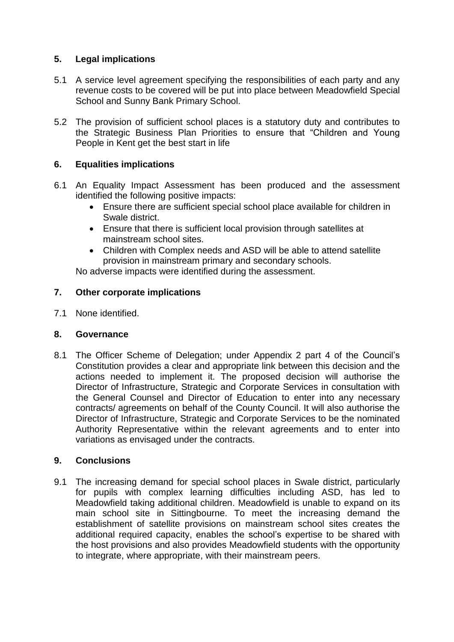# **5. Legal implications**

- 5.1 A service level agreement specifying the responsibilities of each party and any revenue costs to be covered will be put into place between Meadowfield Special School and Sunny Bank Primary School.
- 5.2 The provision of sufficient school places is a statutory duty and contributes to the Strategic Business Plan Priorities to ensure that "Children and Young People in Kent get the best start in life

# **6. Equalities implications**

- 6.1 An Equality Impact Assessment has been produced and the assessment identified the following positive impacts:
	- Ensure there are sufficient special school place available for children in Swale district.
	- Ensure that there is sufficient local provision through satellites at mainstream school sites.
	- Children with Complex needs and ASD will be able to attend satellite provision in mainstream primary and secondary schools.

No adverse impacts were identified during the assessment.

# **7. Other corporate implications**

7.1 None identified.

### **8. Governance**

8.1 The Officer Scheme of Delegation; under Appendix 2 part 4 of the Council's Constitution provides a clear and appropriate link between this decision and the actions needed to implement it. The proposed decision will authorise the Director of Infrastructure, Strategic and Corporate Services in consultation with the General Counsel and Director of Education to enter into any necessary contracts/ agreements on behalf of the County Council. It will also authorise the Director of Infrastructure, Strategic and Corporate Services to be the nominated Authority Representative within the relevant agreements and to enter into variations as envisaged under the contracts.

# **9. Conclusions**

9.1 The increasing demand for special school places in Swale district, particularly for pupils with complex learning difficulties including ASD, has led to Meadowfield taking additional children. Meadowfield is unable to expand on its main school site in Sittingbourne. To meet the increasing demand the establishment of satellite provisions on mainstream school sites creates the additional required capacity, enables the school's expertise to be shared with the host provisions and also provides Meadowfield students with the opportunity to integrate, where appropriate, with their mainstream peers.